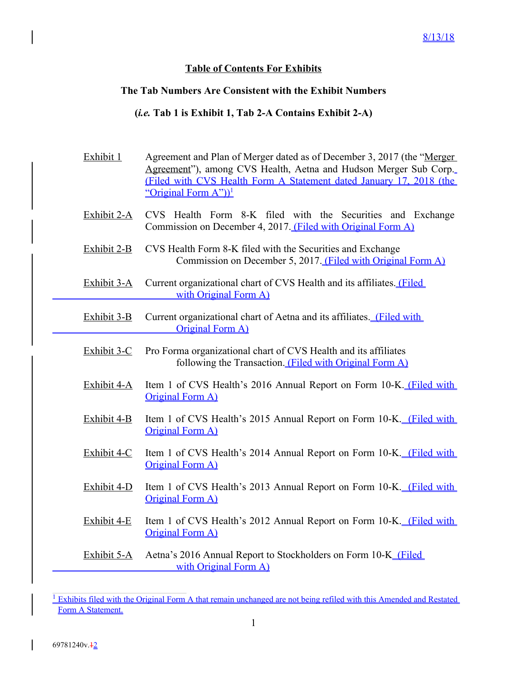## **Table of Contents For Exhibits**

## **The Tab Numbers Are Consistent with the Exhibit Numbers**

## **(***i.e.* **Tab 1 is Exhibit 1, Tab 2-A Contains Exhibit 2-A)**

- Exhibit 1 Agreement and Plan of Merger dated as of December 3, 2017 (the "Merger Agreement"), among CVS Health, Aetna and Hudson Merger Sub Corp. (Filed with CVS Health Form A Statement dated January 17, 2018 (the "Original Form  $A$ "))<sup>1</sup>
- Exhibit 2-A CVS Health Form 8-K filed with the Securities and Exchange Commission on December 4, 2017. (Filed with Original Form A)
- Exhibit 2-B CVS Health Form 8-K filed with the Securities and Exchange Commission on December 5, 2017. (Filed with Original Form A)
- Exhibit 3-A Current organizational chart of CVS Health and its affiliates. (Filed with Original Form A)
- Exhibit 3-B Current organizational chart of Aetna and its affiliates. (Filed with Original Form A)
- Exhibit 3-C Pro Forma organizational chart of CVS Health and its affiliates following the Transaction. (Filed with Original Form A)
- Exhibit 4-A Item 1 of CVS Health's 2016 Annual Report on Form 10-K. (Filed with Original Form A)
- Exhibit 4-B Item 1 of CVS Health's 2015 Annual Report on Form 10-K. (Filed with Original Form A)
- Exhibit 4-C Item 1 of CVS Health's 2014 Annual Report on Form 10-K. (Filed with Original Form A)
- Exhibit 4-D Item 1 of CVS Health's 2013 Annual Report on Form 10-K. (Filed with Original Form A)
- Exhibit 4-E Item 1 of CVS Health's 2012 Annual Report on Form 10-K. (Filed with Original Form A)
- Exhibit 5-A Aetna's 2016 Annual Report to Stockholders on Form 10-K (Filed with Original Form A)

<sup>&</sup>lt;sup>1</sup> Exhibits filed with the Original Form A that remain unchanged are not being refiled with this Amended and Restated Form A Statement.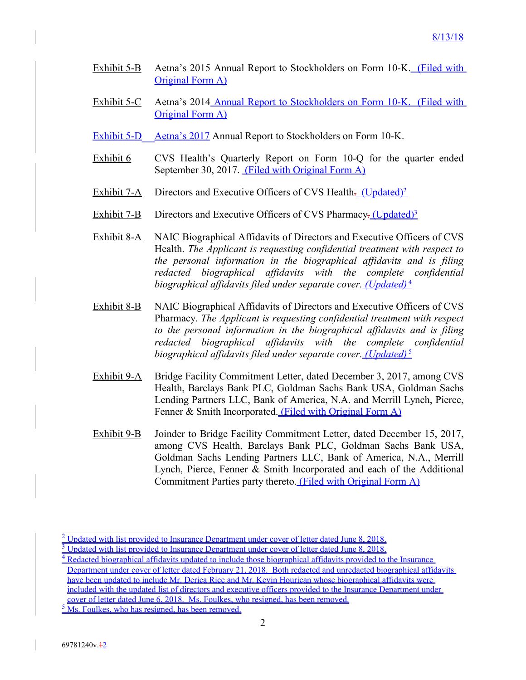- Exhibit 5-B Aetna's 2015 Annual Report to Stockholders on Form 10-K. (Filed with Original Form A)
- Exhibit 5-C Aetna's 2014 Annual Report to Stockholders on Form 10-K. (Filed with Original Form A)
- Exhibit 5-D Aetna's 2017 Annual Report to Stockholders on Form 10-K.
- Exhibit 6 CVS Health's Quarterly Report on Form 10-Q for the quarter ended September 30, 2017. (Filed with Original Form A)
- Exhibit 7-A Directors and Executive Officers of CVS Health. (Updated)<sup>2</sup>
- Exhibit 7-B Directors and Executive Officers of CVS Pharmacy-(Updated)<sup>3</sup>
- Exhibit 8-A NAIC Biographical Affidavits of Directors and Executive Officers of CVS Health. *The Applicant is requesting confidential treatment with respect to the personal information in the biographical affidavits and is filing redacted biographical affidavits with the complete confidential biographical affidavits filed under separate cover. (Updated)* <sup>4</sup>
- Exhibit 8-B NAIC Biographical Affidavits of Directors and Executive Officers of CVS Pharmacy. *The Applicant is requesting confidential treatment with respect to the personal information in the biographical affidavits and is filing redacted biographical affidavits with the complete confidential biographical affidavits filed under separate cover. (Updated)* <sup>5</sup>
- Exhibit 9-A Bridge Facility Commitment Letter, dated December 3, 2017, among CVS Health, Barclays Bank PLC, Goldman Sachs Bank USA, Goldman Sachs Lending Partners LLC, Bank of America, N.A. and Merrill Lynch, Pierce, Fenner & Smith Incorporated. (Filed with Original Form A)
- Exhibit 9-B Joinder to Bridge Facility Commitment Letter, dated December 15, 2017, among CVS Health, Barclays Bank PLC, Goldman Sachs Bank USA, Goldman Sachs Lending Partners LLC, Bank of America, N.A., Merrill Lynch, Pierce, Fenner & Smith Incorporated and each of the Additional Commitment Parties party thereto. (Filed with Original Form A)

 $2 \text{ Update with list provided to Insurance Department under cover of letter dated June 8, 2018.}$ <sup>3</sup> Updated with list provided to Insurance Department under cover of letter dated June 8, 2018.

<sup>&</sup>lt;sup>4</sup> Redacted biographical affidavits updated to include those biographical affidavits provided to the Insurance

Department under cover of letter dated February 21, 2018. Both redacted and unredacted biographical affidavits have been updated to include Mr. Derica Rice and Mr. Kevin Hourican whose biographical affidavits were included with the updated list of directors and executive officers provided to the Insurance Department under cover of letter dated June 6, 2018. Ms. Foulkes, who resigned, has been removed.

 $5\overline{\text{Ms}}$ . Foulkes, who has resigned, has been removed.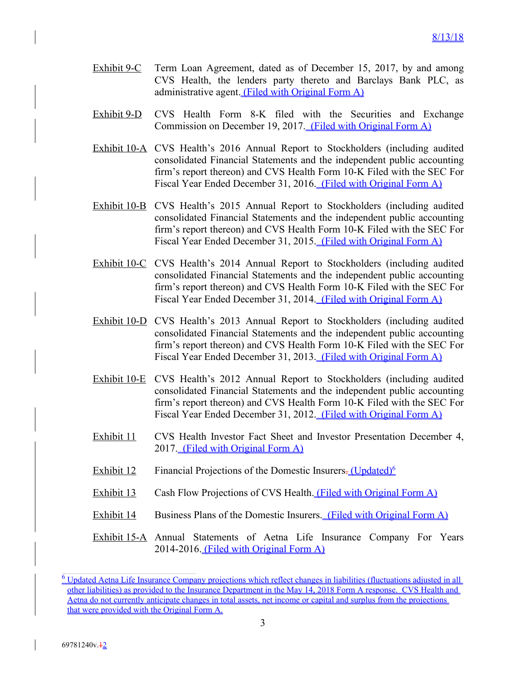- Exhibit 9-C Term Loan Agreement, dated as of December 15, 2017, by and among CVS Health, the lenders party thereto and Barclays Bank PLC, as administrative agent. (Filed with Original Form A)
- Exhibit 9-D CVS Health Form 8-K filed with the Securities and Exchange Commission on December 19, 2017. (Filed with Original Form A)
- Exhibit 10-A CVS Health's 2016 Annual Report to Stockholders (including audited consolidated Financial Statements and the independent public accounting firm's report thereon) and CVS Health Form 10-K Filed with the SEC For Fiscal Year Ended December 31, 2016. (Filed with Original Form A)
- Exhibit 10-B CVS Health's 2015 Annual Report to Stockholders (including audited consolidated Financial Statements and the independent public accounting firm's report thereon) and CVS Health Form 10-K Filed with the SEC For Fiscal Year Ended December 31, 2015. (Filed with Original Form A)
- Exhibit 10-C CVS Health's 2014 Annual Report to Stockholders (including audited consolidated Financial Statements and the independent public accounting firm's report thereon) and CVS Health Form 10-K Filed with the SEC For Fiscal Year Ended December 31, 2014. (Filed with Original Form A)
- Exhibit 10-D CVS Health's 2013 Annual Report to Stockholders (including audited consolidated Financial Statements and the independent public accounting firm's report thereon) and CVS Health Form 10-K Filed with the SEC For Fiscal Year Ended December 31, 2013. (Filed with Original Form A)
- Exhibit 10-E CVS Health's 2012 Annual Report to Stockholders (including audited consolidated Financial Statements and the independent public accounting firm's report thereon) and CVS Health Form 10-K Filed with the SEC For Fiscal Year Ended December 31, 2012. (Filed with Original Form A)
- Exhibit 11 CVS Health Investor Fact Sheet and Investor Presentation December 4, 2017. (Filed with Original Form A)
- Exhibit 12 Financial Projections of the Domestic Insurers. (Updated)<sup>6</sup>
- Exhibit 13 Cash Flow Projections of CVS Health. (Filed with Original Form A)
- Exhibit 14 Business Plans of the Domestic Insurers. (Filed with Original Form A)

Exhibit 15-A Annual Statements of Aetna Life Insurance Company For Years 2014-2016. (Filed with Original Form A)

<sup>&</sup>lt;sup>6</sup> Updated Aetna Life Insurance Company projections which reflect changes in liabilities (fluctuations adjusted in all other liabilities) as provided to the Insurance Department in the May 14, 2018 Form A response. CVS Health and Aetna do not currently anticipate changes in total assets, net income or capital and surplus from the projections that were provided with the Original Form A.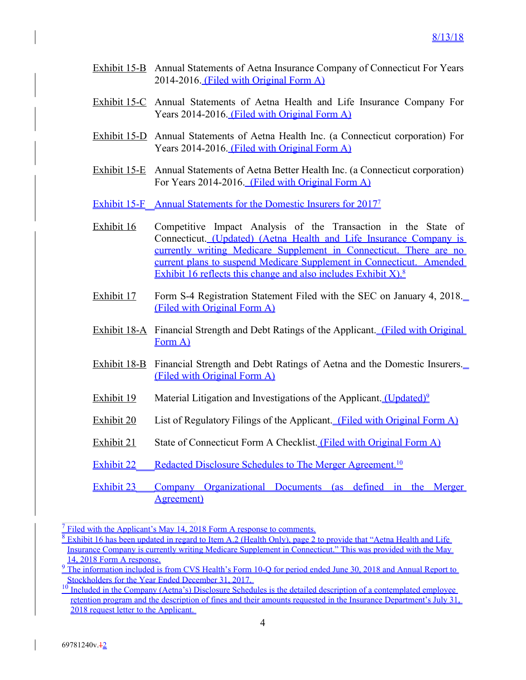- Exhibit 15-B Annual Statements of Aetna Insurance Company of Connecticut For Years 2014-2016. (Filed with Original Form A)
- Exhibit 15-C Annual Statements of Aetna Health and Life Insurance Company For Years 2014-2016. (Filed with Original Form A)
- Exhibit 15-D Annual Statements of Aetna Health Inc. (a Connecticut corporation) For Years 2014-2016. (Filed with Original Form A)
- Exhibit 15-E Annual Statements of Aetna Better Health Inc. (a Connecticut corporation) For Years 2014-2016. (Filed with Original Form A)
- Exhibit 15-F Annual Statements for the Domestic Insurers for 2017<sup>7</sup>
- Exhibit 16 Competitive Impact Analysis of the Transaction in the State of Connecticut. (Updated) (Aetna Health and Life Insurance Company is currently writing Medicare Supplement in Connecticut. There are no current plans to suspend Medicare Supplement in Connecticut. Amended Exhibit 16 reflects this change and also includes Exhibit  $X$ ).<sup>8</sup>
- Exhibit 17 Form S-4 Registration Statement Filed with the SEC on January 4, 2018. (Filed with Original Form A)
- Exhibit 18-A Financial Strength and Debt Ratings of the Applicant. (Filed with Original Form A)
- Exhibit 18-B Financial Strength and Debt Ratings of Aetna and the Domestic Insurers. (Filed with Original Form A)
- Exhibit 19 Material Litigation and Investigations of the Applicant. (Updated)<sup>9</sup>
- Exhibit 20 List of Regulatory Filings of the Applicant. (Filed with Original Form A)
- Exhibit 21 State of Connecticut Form A Checklist. (Filed with Original Form A)
- Exhibit 22 Redacted Disclosure Schedules to The Merger Agreement.<sup>10</sup>
- Exhibit 23 Company Organizational Documents (as defined in the Merger Agreement)

 $<sup>7</sup>$  Filed with the Applicant's May 14, 2018 Form A response to comments.</sup>

 $8$  Exhibit 16 has been updated in regard to Item A.2 (Health Only), page 2 to provide that "Aetna Health and Life Insurance Company is currently writing Medicare Supplement in Connecticut." This was provided with the May 14, 2018 Form A response.

<sup>&</sup>lt;sup>9</sup> The information included is from CVS Health's Form 10-Q for period ended June 30, 2018 and Annual Report to Stockholders for the Year Ended December 31, 2017.

 $10$  Included in the Company (Aetna's) Disclosure Schedules is the detailed description of a contemplated employee retention program and the description of fines and their amounts requested in the Insurance Department's July 31, 2018 request letter to the Applicant.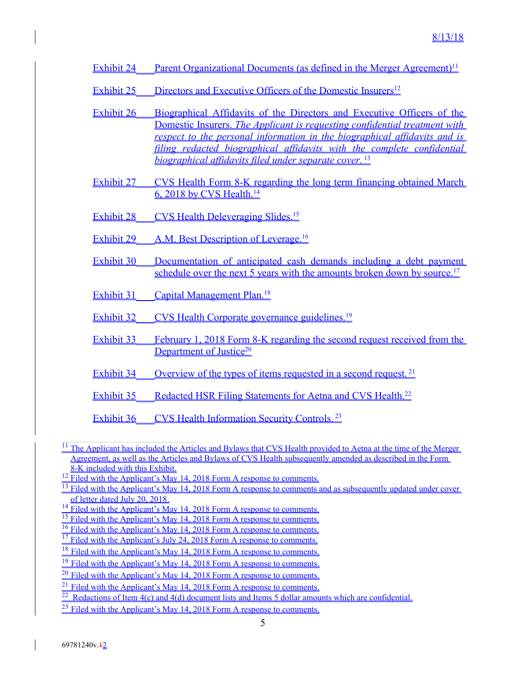Exhibit 24 Parent Organizational Documents (as defined in the Merger Agreement)<sup>11</sup>

Exhibit 25 Directors and Executive Officers of the Domestic Insurers<sup>12</sup>

- Exhibit 26 Biographical Affidavits of the Directors and Executive Officers of the Domestic Insurers. *The Applicant is requesting confidential treatment with respect to the personal information in the biographical affidavits and is filing redacted biographical affidavits with the complete confidential biographical affidavits filed under separate cover.* <sup>13</sup>
- Exhibit 27 CVS Health Form 8-K regarding the long term financing obtained March 6, 2018 by CVS Health.<sup>14</sup>
- Exhibit 28 CVS Health Deleveraging Slides.<sup>15</sup>
- Exhibit 29 A.M. Best Description of Leverage.<sup>16</sup>
- Exhibit 30 Documentation of anticipated cash demands including a debt payment schedule over the next 5 years with the amounts broken down by source.<sup>17</sup>
- Exhibit 31 Capital Management Plan.<sup>18</sup>
- Exhibit 32 CVS Health Corporate governance guidelines.<sup>19</sup>

Exhibit 33 February 1, 2018 Form 8-K regarding the second request received from the Department of Justice<sup>20</sup>

Exhibit 34 Overview of the types of items requested in a second request.<sup>21</sup>

Exhibit 35 Redacted HSR Filing Statements for Aetna and CVS Health.<sup>22</sup>

Exhibit 36 CVS Health Information Security Controls.<sup>23</sup>

 $11$  The Applicant has included the Articles and Bylaws that CVS Health provided to Aetna at the time of the Merger Agreement, as well as the Articles and Bylaws of CVS Health subsequently amended as described in the Form

<sup>8-</sup>K included with this Exhibit.

<sup>&</sup>lt;sup>12</sup> Filed with the Applicant's May 14, 2018 Form A response to comments.

<sup>&</sup>lt;sup>13</sup> Filed with the Applicant's May 14, 2018 Form A response to comments and as subsequently updated under cover of letter dated July 20, 2018.

<sup>&</sup>lt;sup>14</sup> Filed with the Applicant's May 14, 2018 Form A response to comments.

<sup>&</sup>lt;sup>15</sup> Filed with the Applicant's May 14, 2018 Form A response to comments.

<sup>&</sup>lt;sup>16</sup> Filed with the Applicant's May 14, 2018 Form A response to comments.

<sup>&</sup>lt;sup>17</sup> Filed with the Applicant's July 24, 2018 Form A response to comments.

<sup>&</sup>lt;sup>18</sup> Filed with the Applicant's May 14, 2018 Form A response to comments.

<sup>&</sup>lt;sup>19</sup> Filed with the Applicant's May 14, 2018 Form A response to comments.

<sup>&</sup>lt;sup>20</sup> Filed with the Applicant's May 14, 2018 Form A response to comments.

<sup>&</sup>lt;sup>21</sup> Filed with the Applicant's May 14, 2018 Form A response to comments.

 $\frac{1}{22}$  Redactions of Item 4(c) and 4(d) document lists and Items 5 dollar amounts which are confidential.

 $^{23}$  Filed with the Applicant's May 14, 2018 Form A response to comments.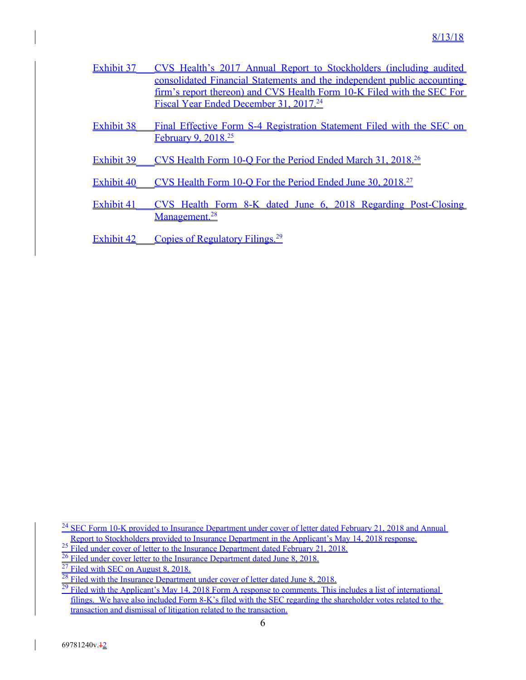- Exhibit 37 CVS Health's 2017 Annual Report to Stockholders (including audited consolidated Financial Statements and the independent public accounting firm's report thereon) and CVS Health Form 10-K Filed with the SEC For Fiscal Year Ended December 31, 2017.<sup>24</sup>
- Exhibit 38 Final Effective Form S-4 Registration Statement Filed with the SEC on February 9, 2018.<sup>25</sup>
- Exhibit 39 CVS Health Form 10-O For the Period Ended March 31, 2018.<sup>26</sup>
- Exhibit 40 CVS Health Form 10-O For the Period Ended June 30, 2018.<sup>27</sup>
- Exhibit 41 CVS Health Form 8-K dated June 6, 2018 Regarding Post-Closing Management.<sup>28</sup>
- Exhibit 42 Copies of Regulatory Filings.<sup>29</sup>

- <sup>26</sup> Filed under cover letter to the Insurance Department dated June 8, 2018.
- $27$  Filed with SEC on August 8, 2018.

<sup>&</sup>lt;sup>24</sup> SEC Form 10-K provided to Insurance Department under cover of letter dated February 21, 2018 and Annual Report to Stockholders provided to Insurance Department in the Applicant's May 14, 2018 response.

<sup>&</sup>lt;sup>25</sup> Filed under cover of letter to the Insurance Department dated February 21, 2018.

 $28$  Filed with the Insurance Department under cover of letter dated June 8, 2018.

 $29$  Filed with the Applicant's May 14, 2018 Form A response to comments. This includes a list of international filings. We have also included Form 8-K's filed with the SEC regarding the shareholder votes related to the transaction and dismissal of litigation related to the transaction.